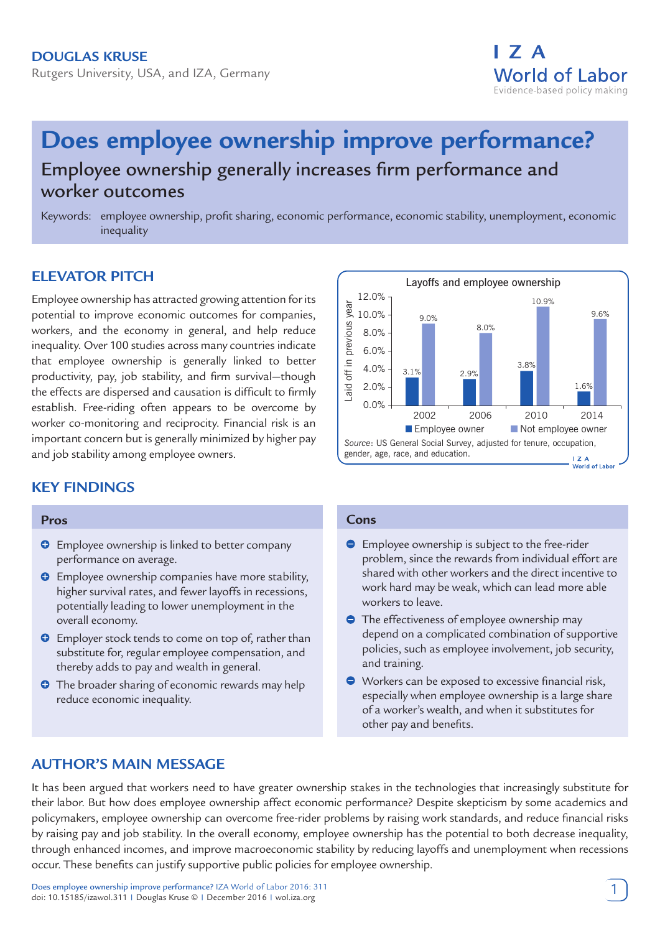# **Douglas Kruse** Rutgers University, USA, and IZA, Germany



# **Does employee ownership improve performance?** Employee ownership generally increases firm performance and worker outcomes

Keywords: employee ownership, profit sharing, economic performance, economic stability, unemployment, economic inequality

# **ELEVATOR PITCH**

Employee ownership has attracted growing attention for its potential to improve economic outcomes for companies, workers, and the economy in general, and help reduce inequality. Over 100 studies across many countries indicate that employee ownership is generally linked to better productivity, pay, job stability, and firm survival—though the effects are dispersed and causation is difficult to firmly establish. Free-riding often appears to be overcome by worker co-monitoring and reciprocity. Financial risk is an important concern but is generally minimized by higher pay and job stability among employee owners.

# **KEY FINDINGS**

#### **Pros**

- $\Theta$  Employee ownership is linked to better company performance on average.
- $\bullet$  Employee ownership companies have more stability, higher survival rates, and fewer layoffs in recessions, potentially leading to lower unemployment in the overall economy.
- **O** Employer stock tends to come on top of, rather than substitute for, regular employee compensation, and thereby adds to pay and wealth in general.
- **O** The broader sharing of economic rewards may help reduce economic inequality.



#### **Cons**

- **Employee ownership is subject to the free-rider** problem, since the rewards from individual effort are shared with other workers and the direct incentive to work hard may be weak, which can lead more able workers to leave.
- **•** The effectiveness of employee ownership may depend on a complicated combination of supportive policies, such as employee involvement, job security, and training.
- Workers can be exposed to excessive financial risk, especially when employee ownership is a large share of a worker's wealth, and when it substitutes for other pay and benefits.

# **AUTHOR'S MAIN MESSAGE**

It has been argued that workers need to have greater ownership stakes in the technologies that increasingly substitute for their labor. But how does employee ownership affect economic performance? Despite skepticism by some academics and policymakers, employee ownership can overcome free-rider problems by raising work standards, and reduce financial risks by raising pay and job stability. In the overall economy, employee ownership has the potential to both decrease inequality, through enhanced incomes, and improve macroeconomic stability by reducing layoffs and unemployment when recessions occur. These benefits can justify supportive public policies for employee ownership.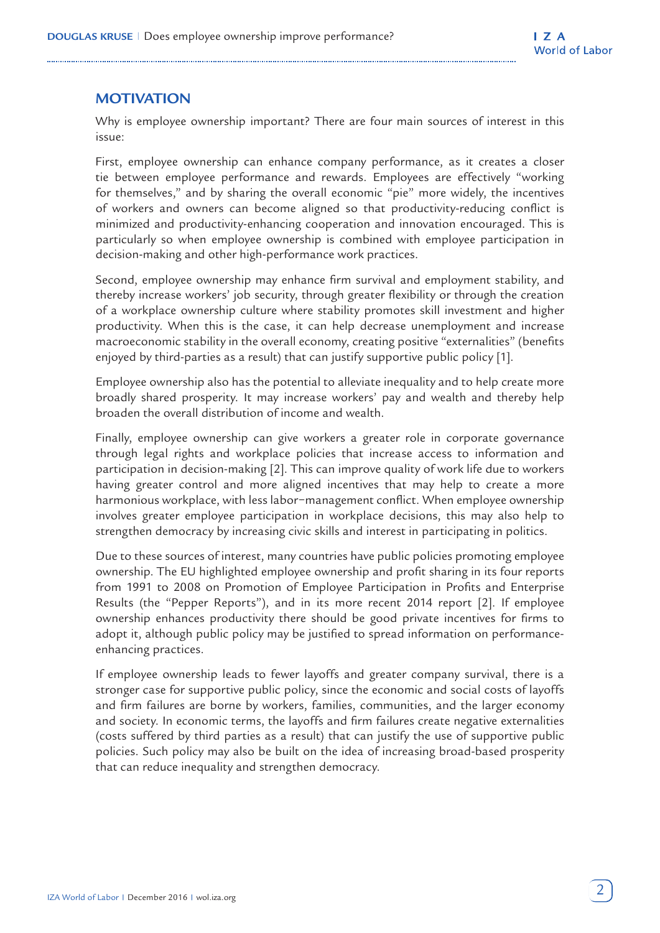# **MOTIVATION**

Why is employee ownership important? There are four main sources of interest in this issue:

First, employee ownership can enhance company performance, as it creates a closer tie between employee performance and rewards. Employees are effectively "working for themselves," and by sharing the overall economic "pie" more widely, the incentives of workers and owners can become aligned so that productivity-reducing conflict is minimized and productivity-enhancing cooperation and innovation encouraged. This is particularly so when employee ownership is combined with employee participation in decision-making and other high-performance work practices.

Second, employee ownership may enhance firm survival and employment stability, and thereby increase workers' job security, through greater flexibility or through the creation of a workplace ownership culture where stability promotes skill investment and higher productivity. When this is the case, it can help decrease unemployment and increase macroeconomic stability in the overall economy, creating positive "externalities" (benefits enjoyed by third-parties as a result) that can justify supportive public policy [1].

Employee ownership also has the potential to alleviate inequality and to help create more broadly shared prosperity. It may increase workers' pay and wealth and thereby help broaden the overall distribution of income and wealth.

Finally, employee ownership can give workers a greater role in corporate governance through legal rights and workplace policies that increase access to information and participation in decision-making [2]. This can improve quality of work life due to workers having greater control and more aligned incentives that may help to create a more harmonious workplace, with less labor−management conflict. When employee ownership involves greater employee participation in workplace decisions, this may also help to strengthen democracy by increasing civic skills and interest in participating in politics.

Due to these sources of interest, many countries have public policies promoting employee ownership. The EU highlighted employee ownership and profit sharing in its four reports from 1991 to 2008 on Promotion of Employee Participation in Profits and Enterprise Results (the "Pepper Reports"), and in its more recent 2014 report [2]. If employee ownership enhances productivity there should be good private incentives for firms to adopt it, although public policy may be justified to spread information on performanceenhancing practices.

If employee ownership leads to fewer layoffs and greater company survival, there is a stronger case for supportive public policy, since the economic and social costs of layoffs and firm failures are borne by workers, families, communities, and the larger economy and society. In economic terms, the layoffs and firm failures create negative externalities (costs suffered by third parties as a result) that can justify the use of supportive public policies. Such policy may also be built on the idea of increasing broad-based prosperity that can reduce inequality and strengthen democracy.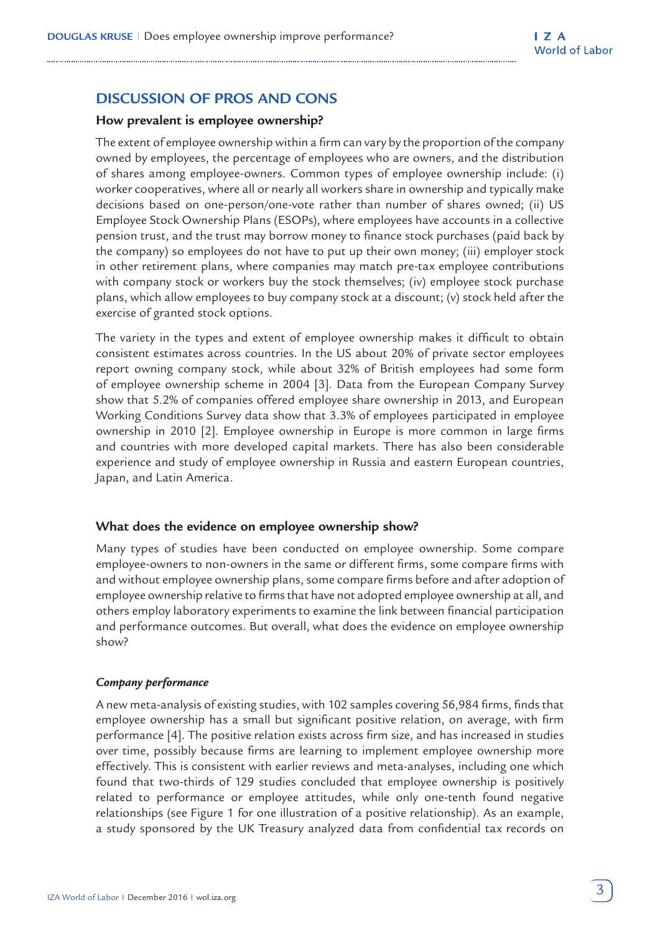# **DISCUSS ION OF PROS AND CONS**

## **How prevalent is employee ownership?**

The extent of employee ownership within a firm can vary by the proportion of the company owned by employees, the percentage of employees who are owners, and the distribution of shares among employee-owners. Common types of employee ownership include: (i) worker cooperatives, where all or nearly all workers share in ownership and typically make decisions based on one-person/one-vote rather than number of shares owned; (ii) US Employee Stock Ownership Plans (ESOPs), where employees have accounts in a collective pension trust, and the trust may borrow money to finance stock purchases (paid back by the company) so employees do not have to put up their own money; (iii) employer stock in other retirement plans, where companies may match pre-tax employee contributions with company stock or workers buy the stock themselves; (iv) employee stock purchase plans, which allow employees to buy company stock at a discount; (v) stock held after the exercise of granted stock options.

The variety in the types and extent of employee ownership makes it difficult to obtain consistent estimates across countries. In the US about 20% of private sector employees report owning company stock, while about 32% of British employees had some form of employee ownership scheme in 2004 [3]. Data from the European Company Survey show that 5.2% of companies offered employee share ownership in 2013, and European Working Conditions Survey data show that 3.3% of employees participated in employee ownership in 2010 [2]. Employee ownership in Europe is more common in large firms and countries with more developed capital markets. There has also been considerable experience and study of employee ownership in Russia and eastern European countries, Japan, and Latin America.

#### **What does the evidence on employee ownership show?**

Many types of studies have been conducted on employee ownership. Some compare employee-owners to non-owners in the same or different firms, some compare firms with and without employee ownership plans, some compare firms before and after adoption of employee ownership relative to firms that have not adopted employee ownership at all, and others employ laboratory experiments to examine the link between financial participation and performance outcomes. But overall, what does the evidence on employee ownership show?

#### *Company performance*

A new meta-analysis of existing studies, with 102 samples covering 56,984 firms, finds that employee ownership has a small but significant positive relation, on average, with firm performance [4]. The positive relation exists across firm size, and has increased in studies over time, possibly because firms are learning to implement employee ownership more effectively. This is consistent with earlier reviews and meta-analyses, including one which found that two-thirds of 129 studies concluded that employee ownership is positively related to performance or employee attitudes, while only one-tenth found negative relationships (see Figure 1 for one illustration of a positive relationship). As an example, a study sponsored by the UK Treasury analyzed data from confidential tax records on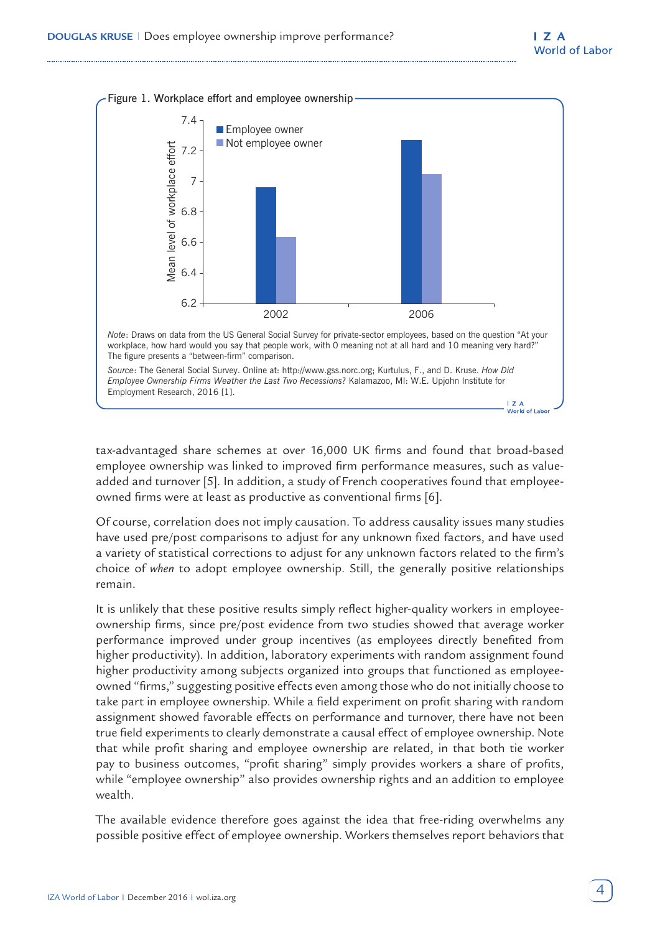

tax-advantaged share schemes at over 16,000 UK firms and found that broad-based employee ownership was linked to improved firm performance measures, such as valueadded and turnover [5]. In addition, a study of French cooperatives found that employeeowned firms were at least as productive as conventional firms [6].

Of course, correlation does not imply causation. To address causality issues many studies have used pre/post comparisons to adjust for any unknown fixed factors, and have used a variety of statistical corrections to adjust for any unknown factors related to the firm's choice of *when* to adopt employee ownership. Still, the generally positive relationships remain.

It is unlikely that these positive results simply reflect higher-quality workers in employeeownership firms, since pre/post evidence from two studies showed that average worker performance improved under group incentives (as employees directly benefited from higher productivity). In addition, laboratory experiments with random assignment found higher productivity among subjects organized into groups that functioned as employeeowned "firms," suggesting positive effects even among those who do not initially choose to take part in employee ownership. While a field experiment on profit sharing with random assignment showed favorable effects on performance and turnover, there have not been true field experiments to clearly demonstrate a causal effect of employee ownership. Note that while profit sharing and employee ownership are related, in that both tie worker pay to business outcomes, "profit sharing" simply provides workers a share of profits, while "employee ownership" also provides ownership rights and an addition to employee wealth.

The available evidence therefore goes against the idea that free-riding overwhelms any possible positive effect of employee ownership. Workers themselves report behaviors that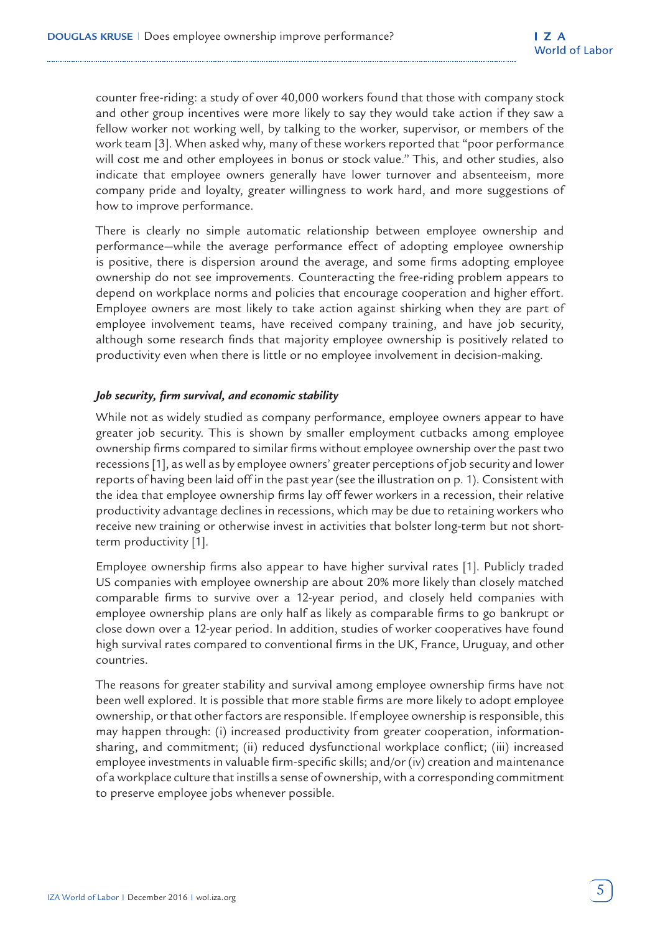counter free-riding: a study of over 40,000 workers found that those with company stock and other group incentives were more likely to say they would take action if they saw a fellow worker not working well, by talking to the worker, supervisor, or members of the work team [3]. When asked why, many of these workers reported that "poor performance will cost me and other employees in bonus or stock value." This, and other studies, also indicate that employee owners generally have lower turnover and absenteeism, more company pride and loyalty, greater willingness to work hard, and more suggestions of how to improve performance.

There is clearly no simple automatic relationship between employee ownership and performance—while the average performance effect of adopting employee ownership is positive, there is dispersion around the average, and some firms adopting employee ownership do not see improvements. Counteracting the free-riding problem appears to depend on workplace norms and policies that encourage cooperation and higher effort. Employee owners are most likely to take action against shirking when they are part of employee involvement teams, have received company training, and have job security, although some research finds that majority employee ownership is positively related to productivity even when there is little or no employee involvement in decision-making.

## *Job security, firm survival, and economic stability*

While not as widely studied as company performance, employee owners appear to have greater job security. This is shown by smaller employment cutbacks among employee ownership firms compared to similar firms without employee ownership over the past two recessions [1], as well as by employee owners' greater perceptions of job security and lower reports of having been laid off in the past year (see the illustration on p. 1). Consistent with the idea that employee ownership firms lay off fewer workers in a recession, their relative productivity advantage declines in recessions, which may be due to retaining workers who receive new training or otherwise invest in activities that bolster long-term but not shortterm productivity [1].

Employee ownership firms also appear to have higher survival rates [1]. Publicly traded US companies with employee ownership are about 20% more likely than closely matched comparable firms to survive over a 12-year period, and closely held companies with employee ownership plans are only half as likely as comparable firms to go bankrupt or close down over a 12-year period. In addition, studies of worker cooperatives have found high survival rates compared to conventional firms in the UK, France, Uruguay, and other countries.

The reasons for greater stability and survival among employee ownership firms have not been well explored. It is possible that more stable firms are more likely to adopt employee ownership, or that other factors are responsible. If employee ownership is responsible, this may happen through: (i) increased productivity from greater cooperation, informationsharing, and commitment; (ii) reduced dysfunctional workplace conflict; (iii) increased employee investments in valuable firm-specific skills; and/or (iv) creation and maintenance of a workplace culture that instills a sense of ownership, with a corresponding commitment to preserve employee jobs whenever possible.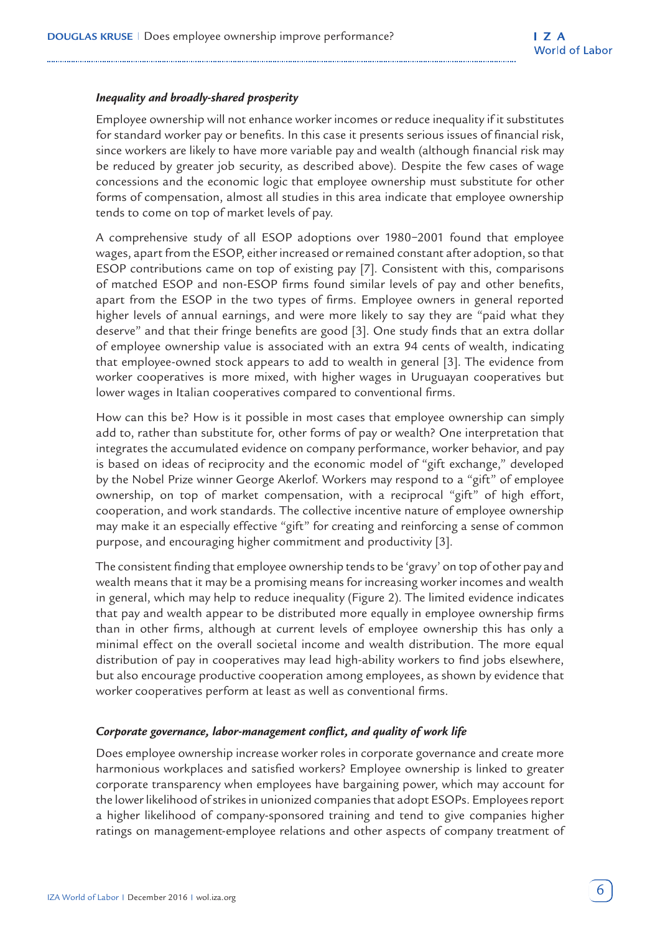#### *Inequality and broadly-shared prosperity*

Employee ownership will not enhance worker incomes or reduce inequality if it substitutes for standard worker pay or benefits. In this case it presents serious issues of financial risk, since workers are likely to have more variable pay and wealth (although financial risk may be reduced by greater job security, as described above). Despite the few cases of wage concessions and the economic logic that employee ownership must substitute for other forms of compensation, almost all studies in this area indicate that employee ownership tends to come on top of market levels of pay.

A comprehensive study of all ESOP adoptions over 1980−2001 found that employee wages, apart from the ESOP, either increased or remained constant after adoption, so that ESOP contributions came on top of existing pay [7]. Consistent with this, comparisons of matched ESOP and non-ESOP firms found similar levels of pay and other benefits, apart from the ESOP in the two types of firms. Employee owners in general reported higher levels of annual earnings, and were more likely to say they are "paid what they deserve" and that their fringe benefits are good [3]. One study finds that an extra dollar of employee ownership value is associated with an extra 94 cents of wealth, indicating that employee-owned stock appears to add to wealth in general [3]. The evidence from worker cooperatives is more mixed, with higher wages in Uruguayan cooperatives but lower wages in Italian cooperatives compared to conventional firms.

How can this be? How is it possible in most cases that employee ownership can simply add to, rather than substitute for, other forms of pay or wealth? One interpretation that integrates the accumulated evidence on company performance, worker behavior, and pay is based on ideas of reciprocity and the economic model of "gift exchange," developed by the Nobel Prize winner George Akerlof. Workers may respond to a "gift" of employee ownership, on top of market compensation, with a reciprocal "gift" of high effort, cooperation, and work standards. The collective incentive nature of employee ownership may make it an especially effective "gift" for creating and reinforcing a sense of common purpose, and encouraging higher commitment and productivity [3].

The consistent finding that employee ownership tends to be 'gravy' on top of other pay and wealth means that it may be a promising means for increasing worker incomes and wealth in general, which may help to reduce inequality (Figure 2). The limited evidence indicates that pay and wealth appear to be distributed more equally in employee ownership firms than in other firms, although at current levels of employee ownership this has only a minimal effect on the overall societal income and wealth distribution. The more equal distribution of pay in cooperatives may lead high-ability workers to find jobs elsewhere, but also encourage productive cooperation among employees, as shown by evidence that worker cooperatives perform at least as well as conventional firms.

#### *Corporate governance, labor-management conflict, and quality of work life*

Does employee ownership increase worker roles in corporate governance and create more harmonious workplaces and satisfied workers? Employee ownership is linked to greater corporate transparency when employees have bargaining power, which may account for the lower likelihood of strikes in unionized companies that adopt ESOPs. Employees report a higher likelihood of company-sponsored training and tend to give companies higher ratings on management-employee relations and other aspects of company treatment of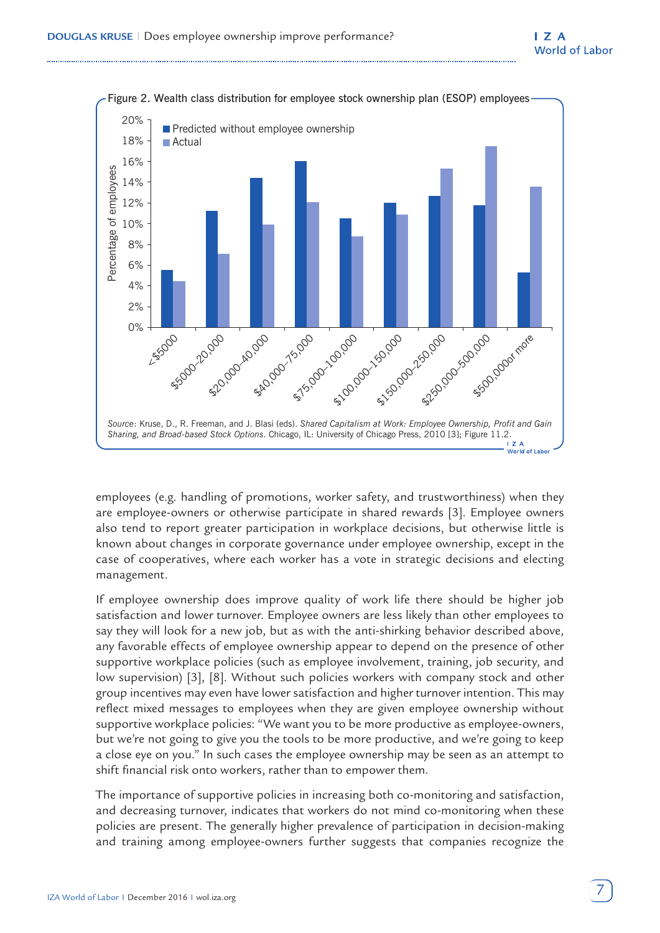

employees (e.g. handling of promotions, worker safety, and trustworthiness) when they are employee-owners or otherwise participate in shared rewards [3]. Employee owners also tend to report greater participation in workplace decisions, but otherwise little is known about changes in corporate governance under employee ownership, except in the case of cooperatives, where each worker has a vote in strategic decisions and electing management.

If employee ownership does improve quality of work life there should be higher job satisfaction and lower turnover. Employee owners are less likely than other employees to say they will look for a new job, but as with the anti-shirking behavior described above, any favorable effects of employee ownership appear to depend on the presence of other supportive workplace policies (such as employee involvement, training, job security, and low supervision) [3], [8]. Without such policies workers with company stock and other group incentives may even have lower satisfaction and higher turnover intention. This may reflect mixed messages to employees when they are given employee ownership without supportive workplace policies: "We want you to be more productive as employee-owners, but we're not going to give you the tools to be more productive, and we're going to keep a close eye on you." In such cases the employee ownership may be seen as an attempt to shift financial risk onto workers, rather than to empower them.

The importance of supportive policies in increasing both co-monitoring and satisfaction, and decreasing turnover, indicates that workers do not mind co-monitoring when these policies are present. The generally higher prevalence of participation in decision-making and training among employee-owners further suggests that companies recognize the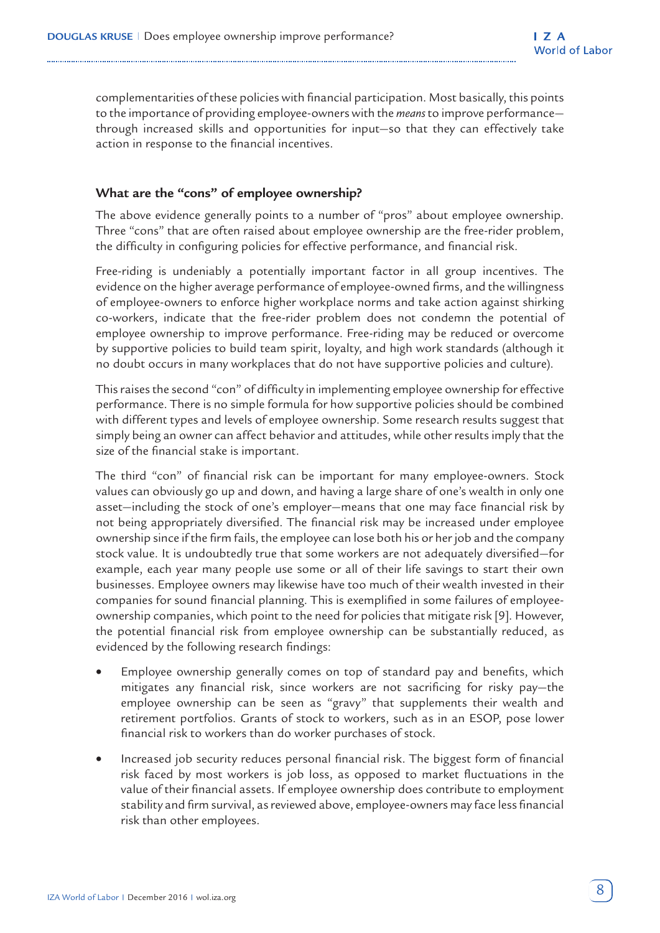complementarities of these policies with financial participation. Most basically, this points to the importance of providing employee-owners with the *means* to improve performance through increased skills and opportunities for input—so that they can effectively take action in response to the financial incentives.

## **What are the "cons" of employee ownership?**

The above evidence generally points to a number of "pros" about employee ownership. Three "cons" that are often raised about employee ownership are the free-rider problem, the difficulty in configuring policies for effective performance, and financial risk.

Free-riding is undeniably a potentially important factor in all group incentives. The evidence on the higher average performance of employee-owned firms, and the willingness of employee-owners to enforce higher workplace norms and take action against shirking co-workers, indicate that the free-rider problem does not condemn the potential of employee ownership to improve performance. Free-riding may be reduced or overcome by supportive policies to build team spirit, loyalty, and high work standards (although it no doubt occurs in many workplaces that do not have supportive policies and culture).

This raises the second "con" of difficulty in implementing employee ownership for effective performance. There is no simple formula for how supportive policies should be combined with different types and levels of employee ownership. Some research results suggest that simply being an owner can affect behavior and attitudes, while other results imply that the size of the financial stake is important.

The third "con" of financial risk can be important for many employee-owners. Stock values can obviously go up and down, and having a large share of one's wealth in only one asset—including the stock of one's employer—means that one may face financial risk by not being appropriately diversified. The financial risk may be increased under employee ownership since if the firm fails, the employee can lose both his or her job and the company stock value. It is undoubtedly true that some workers are not adequately diversified—for example, each year many people use some or all of their life savings to start their own businesses. Employee owners may likewise have too much of their wealth invested in their companies for sound financial planning. This is exemplified in some failures of employeeownership companies, which point to the need for policies that mitigate risk [9]. However, the potential financial risk from employee ownership can be substantially reduced, as evidenced by the following research findings:

- Employee ownership generally comes on top of standard pay and benefits, which mitigates any financial risk, since workers are not sacrificing for risky pay—the employee ownership can be seen as "gravy" that supplements their wealth and retirement portfolios. Grants of stock to workers, such as in an ESOP, pose lower financial risk to workers than do worker purchases of stock.
- Increased job security reduces personal financial risk. The biggest form of financial risk faced by most workers is job loss, as opposed to market fluctuations in the value of their financial assets. If employee ownership does contribute to employment stability and firm survival, as reviewed above, employee-owners may face less financial risk than other employees.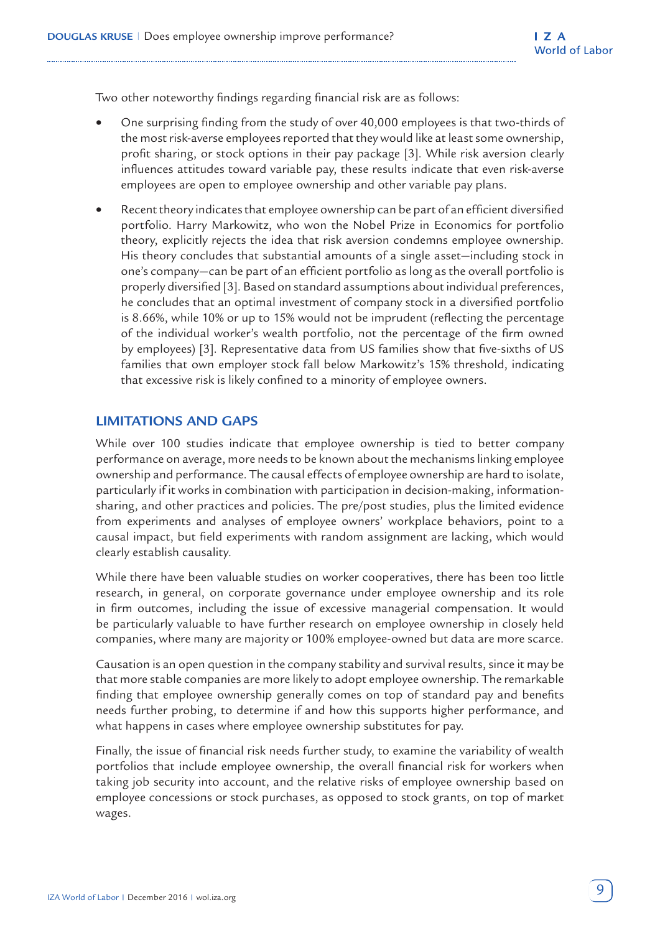Two other noteworthy findings regarding financial risk are as follows:

- One surprising finding from the study of over 40,000 employees is that two-thirds of the most risk-averse employees reported that they would like at least some ownership, profit sharing, or stock options in their pay package [3]. While risk aversion clearly influences attitudes toward variable pay, these results indicate that even risk-averse employees are open to employee ownership and other variable pay plans.
- Recent theory indicates that employee ownership can be part of an efficient diversified portfolio. Harry Markowitz, who won the Nobel Prize in Economics for portfolio theory, explicitly rejects the idea that risk aversion condemns employee ownership. His theory concludes that substantial amounts of a single asset—including stock in one's company—can be part of an efficient portfolio as long as the overall portfolio is properly diversified [3]. Based on standard assumptions about individual preferences, he concludes that an optimal investment of company stock in a diversified portfolio is 8.66%, while 10% or up to 15% would not be imprudent (reflecting the percentage of the individual worker's wealth portfolio, not the percentage of the firm owned by employees) [3]. Representative data from US families show that five-sixths of US families that own employer stock fall below Markowitz's 15% threshold, indicating that excessive risk is likely confined to a minority of employee owners.

## **LIMITATIONS AND GAPS**

While over 100 studies indicate that employee ownership is tied to better company performance on average, more needs to be known about the mechanisms linking employee ownership and performance. The causal effects of employee ownership are hard to isolate, particularly if it works in combination with participation in decision-making, informationsharing, and other practices and policies. The pre/post studies, plus the limited evidence from experiments and analyses of employee owners' workplace behaviors, point to a causal impact, but field experiments with random assignment are lacking, which would clearly establish causality.

While there have been valuable studies on worker cooperatives, there has been too little research, in general, on corporate governance under employee ownership and its role in firm outcomes, including the issue of excessive managerial compensation. It would be particularly valuable to have further research on employee ownership in closely held companies, where many are majority or 100% employee-owned but data are more scarce.

Causation is an open question in the company stability and survival results, since it may be that more stable companies are more likely to adopt employee ownership. The remarkable finding that employee ownership generally comes on top of standard pay and benefits needs further probing, to determine if and how this supports higher performance, and what happens in cases where employee ownership substitutes for pay.

Finally, the issue of financial risk needs further study, to examine the variability of wealth portfolios that include employee ownership, the overall financial risk for workers when taking job security into account, and the relative risks of employee ownership based on employee concessions or stock purchases, as opposed to stock grants, on top of market wages.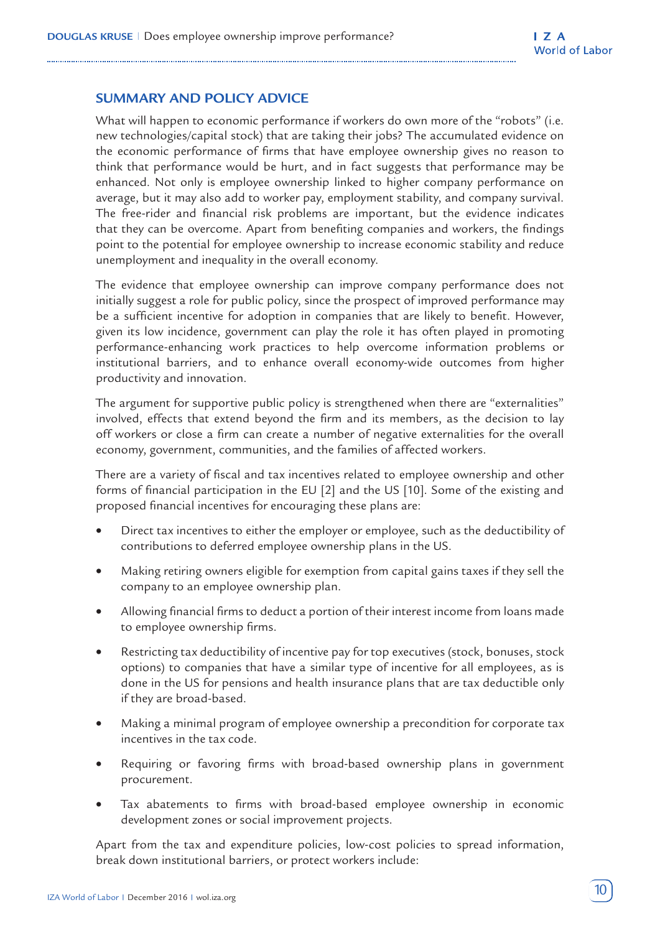## **SUMMARY AND POLICY ADVICE**

What will happen to economic performance if workers do own more of the "robots" (i.e. new technologies/capital stock) that are taking their jobs? The accumulated evidence on the economic performance of firms that have employee ownership gives no reason to think that performance would be hurt, and in fact suggests that performance may be enhanced. Not only is employee ownership linked to higher company performance on average, but it may also add to worker pay, employment stability, and company survival. The free-rider and financial risk problems are important, but the evidence indicates that they can be overcome. Apart from benefiting companies and workers, the findings point to the potential for employee ownership to increase economic stability and reduce unemployment and inequality in the overall economy.

The evidence that employee ownership can improve company performance does not initially suggest a role for public policy, since the prospect of improved performance may be a sufficient incentive for adoption in companies that are likely to benefit. However, given its low incidence, government can play the role it has often played in promoting performance-enhancing work practices to help overcome information problems or institutional barriers, and to enhance overall economy-wide outcomes from higher productivity and innovation.

The argument for supportive public policy is strengthened when there are "externalities" involved, effects that extend beyond the firm and its members, as the decision to lay off workers or close a firm can create a number of negative externalities for the overall economy, government, communities, and the families of affected workers.

There are a variety of fiscal and tax incentives related to employee ownership and other forms of financial participation in the EU [2] and the US [10]. Some of the existing and proposed financial incentives for encouraging these plans are:

- Direct tax incentives to either the employer or employee, such as the deductibility of contributions to deferred employee ownership plans in the US.
- Making retiring owners eligible for exemption from capital gains taxes if they sell the company to an employee ownership plan.
- Allowing financial firms to deduct a portion of their interest income from loans made to employee ownership firms.
- Restricting tax deductibility of incentive pay for top executives (stock, bonuses, stock options) to companies that have a similar type of incentive for all employees, as is done in the US for pensions and health insurance plans that are tax deductible only if they are broad-based.
- Making a minimal program of employee ownership a precondition for corporate tax incentives in the tax code.
- Requiring or favoring firms with broad-based ownership plans in government procurement.
- Tax abatements to firms with broad-based employee ownership in economic development zones or social improvement projects.

Apart from the tax and expenditure policies, low-cost policies to spread information, break down institutional barriers, or protect workers include: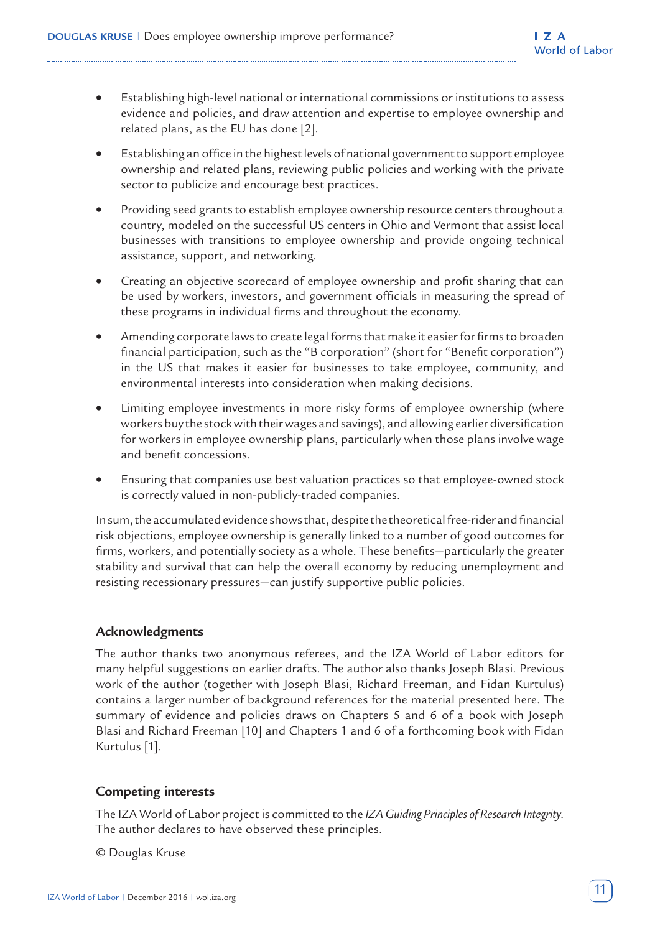- Establishing high-level national or international commissions or institutions to assess evidence and policies, and draw attention and expertise to employee ownership and related plans, as the EU has done [2].
- Establishing an office in the highest levels of national government to support employee ownership and related plans, reviewing public policies and working with the private sector to publicize and encourage best practices.
- Providing seed grants to establish employee ownership resource centers throughout a country, modeled on the successful US centers in Ohio and Vermont that assist local businesses with transitions to employee ownership and provide ongoing technical assistance, support, and networking.
- Creating an objective scorecard of employee ownership and profit sharing that can be used by workers, investors, and government officials in measuring the spread of these programs in individual firms and throughout the economy.
- Amending corporate laws to create legal forms that make it easier for firms to broaden financial participation, such as the "B corporation" (short for "Benefit corporation") in the US that makes it easier for businesses to take employee, community, and environmental interests into consideration when making decisions.
- Limiting employee investments in more risky forms of employee ownership (where workers buy the stock with their wages and savings), and allowing earlier diversification for workers in employee ownership plans, particularly when those plans involve wage and benefit concessions.
- Ensuring that companies use best valuation practices so that employee-owned stock is correctly valued in non-publicly-traded companies.

In sum, the accumulated evidence shows that, despite the theoretical free-rider and financial risk objections, employee ownership is generally linked to a number of good outcomes for firms, workers, and potentially society as a whole. These benefits—particularly the greater stability and survival that can help the overall economy by reducing unemployment and resisting recessionary pressures—can justify supportive public policies.

## **Acknowledgments**

The author thanks two anonymous referees, and the IZA World of Labor editors for many helpful suggestions on earlier drafts. The author also thanks Joseph Blasi. Previous work of the author (together with Joseph Blasi, Richard Freeman, and Fidan Kurtulus) contains a larger number of background references for the material presented here. The summary of evidence and policies draws on Chapters 5 and 6 of a book with Joseph Blasi and Richard Freeman [10] and Chapters 1 and 6 of a forthcoming book with Fidan Kurtulus [1].

## **Competing interests**

The IZA World of Labor project is committed to the *[IZA Guiding Principles of Research Integrity](http://www.iza.org/en/webcontent/about/IZAResearchIntegrity.pdf)*. The author declares to have observed these principles.

© Douglas Kruse